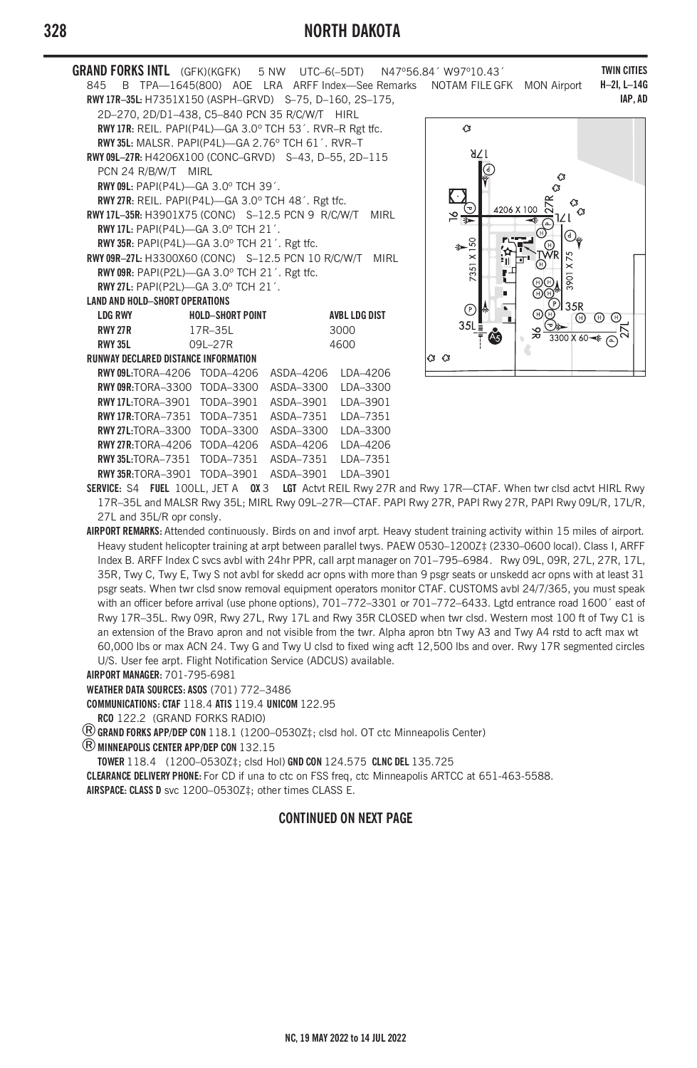## **328 NORTH DAKOTA**

**GRAND FORKS INTL** (GFK)(KGFK) 5 NW UTC–6(–5DT) N47º56.84´ W97º10.43´ 845 B TPA—1645(800) AOE LRA ARFF Index—See Remarks NOTAM FILE GFK MON Airport **RWY 17R–35L:** H7351X150 (ASPH–GRVD) S–75, D–160, 2S–175, 2D–270, 2D/D1–438, C5–840 PCN 35 R/C/W/T HIRL **RWY 17R:** REIL. PAPI(P4L)—GA 3.0º TCH 53´. RVR–R Rgt tfc. **RWY 35L:** MALSR. PAPI(P4L)—GA 2.76º TCH 61´. RVR–T **RWY 09L–27R:** H4206X100 (CONC–GRVD) S–43, D–55, 2D–115 PCN 24 R/B/W/T MIRL **RWY 09L:** PAPI(P4L)—GA 3.0º TCH 39´. **RWY 27R:** REIL. PAPI(P4L)—GA 3.0º TCH 48´. Rgt tfc. **RWY 17L–35R:** H3901X75 (CONC) S–12.5 PCN 9 R/C/W/T MIRL **RWY 17L:** PAPI(P4L)—GA 3.0º TCH 21´. **RWY 35R:** PAPI(P4L)—GA 3.0º TCH 21´. Rgt tfc. **RWY 09R–27L:** H3300X60 (CONC) S–12.5 PCN 10 R/C/W/T MIRL **RWY 09R:** PAPI(P2L)—GA 3.0º TCH 21´. Rgt tfc. **RWY 27L:** PAPI(P2L)—GA 3.0º TCH 21´. **LAND AND HOLD–SHORT OPERATIONS LDG RWY HOLD–SHORT POINT AVBL LDG DIST RWY 27R 17R–35L 3000 RWY 35L 09L–27R 4600 RUNWAY DECLARED DISTANCE INFORMATION**  $\alpha$   $\alpha$ **RWY 09L:**TORA–4206 TODA–4206 ASDA–4206 LDA–4206 **RWY 09R:**TORA–3300 TODA–3300 ASDA–3300 LDA–3300 **RWY 17L:**TORA–3901 TODA–3901 ASDA–3901 LDA–3901 **RWY 17R:**TORA–7351 TODA–7351 ASDA–7351 LDA–7351 **RWY 27L:**TORA–3300 TODA–3300 ASDA–3300 LDA–3300 **RWY 27R:**TORA–4206 TODA–4206 ASDA–4206 LDA–4206

**RWY 35L:**TORA–7351 TODA–7351 ASDA–7351 LDA–7351 **RWY 35R:**TORA–3901 TODA–3901 ASDA–3901 LDA–3901



**TWIN CITIES H–2I, L–14G IAP, AD**

**SERVICE:** S4 **FUEL** 100LL, JET A **OX** 3 **LGT** Actvt REIL Rwy 27R and Rwy 17R—CTAF. When twr clsd actvt HIRL Rwy 17R–35L and MALSR Rwy 35L; MIRL Rwy 09L–27R—CTAF. PAPI Rwy 27R, PAPI Rwy 27R, PAPI Rwy 09L/R, 17L/R, 27L and 35L/R opr consly.

**AIRPORT REMARKS:** Attended continuously. Birds on and invof arpt. Heavy student training activity within 15 miles of airport. Heavy student helicopter training at arpt between parallel twys. PAEW 0530–1200Z‡ (2330–0600 local). Class I, ARFF Index B. ARFF Index C svcs avbl with 24hr PPR, call arpt manager on 701–795–6984. Rwy 09L, 09R, 27L, 27R, 17L, 35R, Twy C, Twy E, Twy S not avbl for skedd acr opns with more than 9 psgr seats or unskedd acr opns with at least 31 psgr seats. When twr clsd snow removal equipment operators monitor CTAF. CUSTOMS avbl 24/7/365, you must speak with an officer before arrival (use phone options), 701-772-3301 or 701-772-6433. Lgtd entrance road 1600' east of Rwy 17R–35L. Rwy 09R, Rwy 27L, Rwy 17L and Rwy 35R CLOSED when twr clsd. Western most 100 ft of Twy C1 is an extension of the Bravo apron and not visible from the twr. Alpha apron btn Twy A3 and Twy A4 rstd to acft max wt 60,000 lbs or max ACN 24. Twy G and Twy U clsd to fixed wing acft 12,500 lbs and over. Rwy 17R segmented circles U/S. User fee arpt. Flight Notification Service (ADCUS) available.

**AIRPORT MANAGER:** 701-795-6981

**WEATHER DATA SOURCES: ASOS** (701) 772–3486

**COMMUNICATIONS: CTAF** 118.4 **ATIS** 119.4 **UNICOM** 122.95

**RCO** 122.2 (GRAND FORKS RADIO)

®**GRAND FORKS APP/DEP CON** 118.1 (1200–0530Z‡; clsd hol. OT ctc Minneapolis Center)

®**MINNEAPOLIS CENTER APP/DEP CON** 132.15

**TOWER** 118.4 (1200–0530Z‡; clsd Hol) **GND CON** 124.575 **CLNC DEL** 135.725

**CLEARANCE DELIVERY PHONE:** For CD if una to ctc on FSS freq, ctc Minneapolis ARTCC at 651-463-5588.

**AIRSPACE: CLASS D** svc 1200–0530Z‡; other times CLASS E.

## **CONTINUED ON NEXT PAGE**